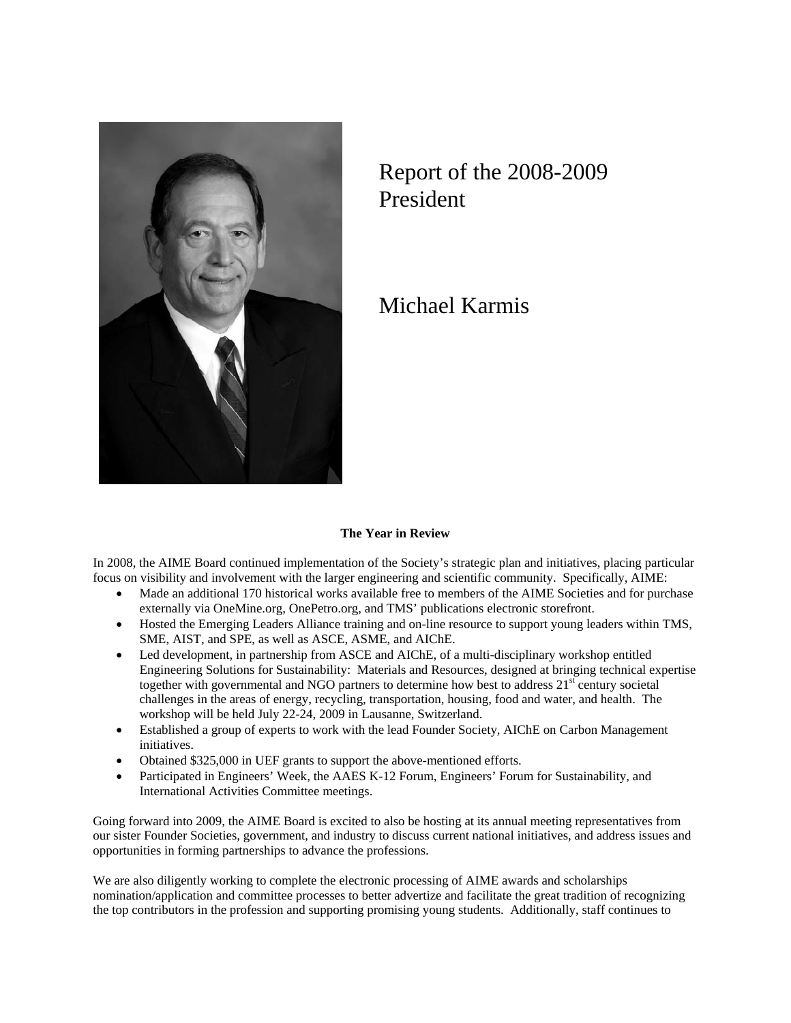

## Report of the 2008-2009 President

Michael Karmis

## **The Year in Review**

In 2008, the AIME Board continued implementation of the Society's strategic plan and initiatives, placing particular focus on visibility and involvement with the larger engineering and scientific community. Specifically, AIME:

- Made an additional 170 historical works available free to members of the AIME Societies and for purchase externally via OneMine.org, OnePetro.org, and TMS' publications electronic storefront.
- Hosted the Emerging Leaders Alliance training and on-line resource to support young leaders within TMS, SME, AIST, and SPE, as well as ASCE, ASME, and AIChE.
- Led development, in partnership from ASCE and AIChE, of a multi-disciplinary workshop entitled Engineering Solutions for Sustainability: Materials and Resources, designed at bringing technical expertise together with governmental and NGO partners to determine how best to address  $21<sup>st</sup>$  century societal challenges in the areas of energy, recycling, transportation, housing, food and water, and health. The workshop will be held July 22-24, 2009 in Lausanne, Switzerland.
- Established a group of experts to work with the lead Founder Society, AIChE on Carbon Management initiatives.
- Obtained \$325,000 in UEF grants to support the above-mentioned efforts.
- Participated in Engineers' Week, the AAES K-12 Forum, Engineers' Forum for Sustainability, and International Activities Committee meetings.

Going forward into 2009, the AIME Board is excited to also be hosting at its annual meeting representatives from our sister Founder Societies, government, and industry to discuss current national initiatives, and address issues and opportunities in forming partnerships to advance the professions.

We are also diligently working to complete the electronic processing of AIME awards and scholarships nomination/application and committee processes to better advertize and facilitate the great tradition of recognizing the top contributors in the profession and supporting promising young students. Additionally, staff continues to